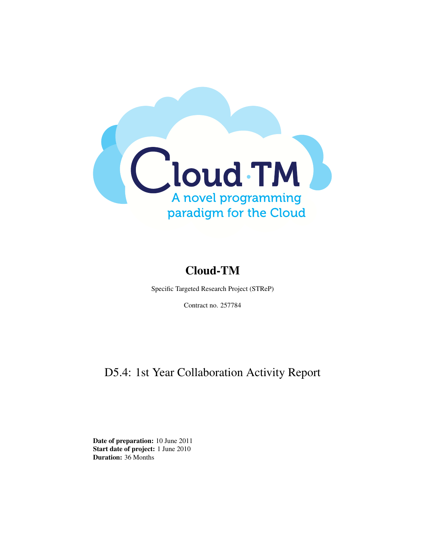

# Cloud-TM

Specific Targeted Research Project (STReP)

Contract no. 257784

# D5.4: 1st Year Collaboration Activity Report

Date of preparation: 10 June 2011 Start date of project: 1 June 2010 Duration: 36 Months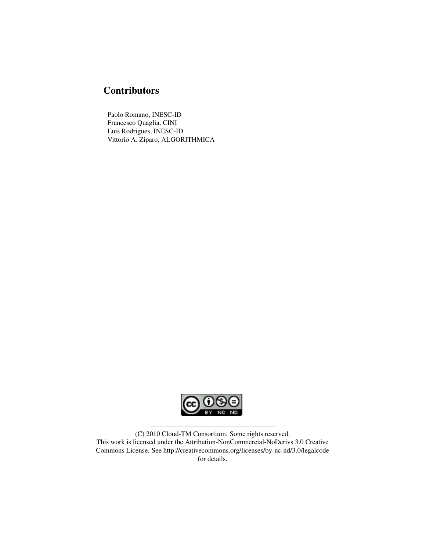## **Contributors**

Paolo Romano, INESC-ID Francesco Quaglia, CINI Luis Rodrigues, INESC-ID Vittorio A. Ziparo, ALGORITHMICA



(C) 2010 Cloud-TM Consortium. Some rights reserved. This work is licensed under the Attribution-NonCommercial-NoDerivs 3.0 Creative Commons License. See http://creativecommons.org/licenses/by-nc-nd/3.0/legalcode for details.

——————————————————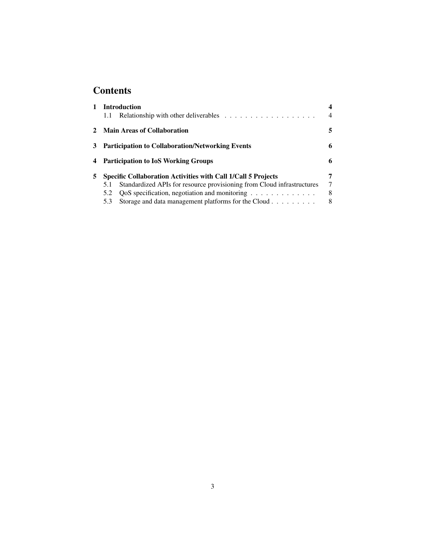## **Contents**

| 1            | <b>Introduction</b><br>1.1                                                                                                                                                                                                 | 4<br>$\overline{4}$ |
|--------------|----------------------------------------------------------------------------------------------------------------------------------------------------------------------------------------------------------------------------|---------------------|
| $\mathbf{2}$ | <b>Main Areas of Collaboration</b>                                                                                                                                                                                         | 5                   |
| 3            | <b>Participation to Collaboration/Networking Events</b>                                                                                                                                                                    | 6                   |
|              | 4 Participation to IoS Working Groups                                                                                                                                                                                      | 6                   |
| 5.           | <b>Specific Collaboration Activities with Call 1/Call 5 Projects</b><br>Standardized APIs for resource provisioning from Cloud infrastructures<br>5.1<br>5.2<br>Storage and data management platforms for the Cloud<br>5.3 | 7<br>7<br>8<br>8    |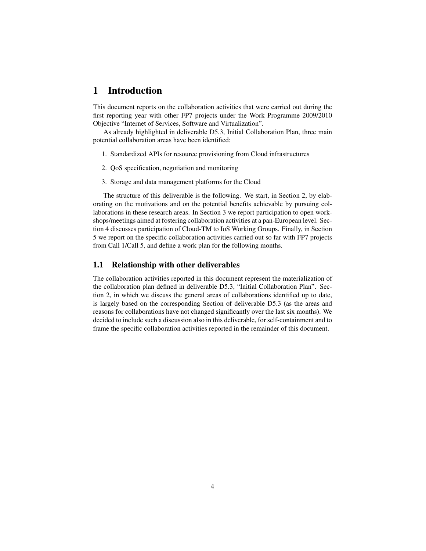### 1 Introduction

This document reports on the collaboration activities that were carried out during the first reporting year with other FP7 projects under the Work Programme 2009/2010 Objective "Internet of Services, Software and Virtualization".

As already highlighted in deliverable D5.3, Initial Collaboration Plan, three main potential collaboration areas have been identified:

- 1. Standardized APIs for resource provisioning from Cloud infrastructures
- 2. QoS specification, negotiation and monitoring
- 3. Storage and data management platforms for the Cloud

The structure of this deliverable is the following. We start, in Section 2, by elaborating on the motivations and on the potential benefits achievable by pursuing collaborations in these research areas. In Section 3 we report participation to open workshops/meetings aimed at fostering collaboration activities at a pan-European level. Section 4 discusses participation of Cloud-TM to IoS Working Groups. Finally, in Section 5 we report on the specific collaboration activities carried out so far with FP7 projects from Call 1/Call 5, and define a work plan for the following months.

#### 1.1 Relationship with other deliverables

The collaboration activities reported in this document represent the materialization of the collaboration plan defined in deliverable D5.3, "Initial Collaboration Plan". Section 2, in which we discuss the general areas of collaborations identified up to date, is largely based on the corresponding Section of deliverable D5.3 (as the areas and reasons for collaborations have not changed significantly over the last six months). We decided to include such a discussion also in this deliverable, for self-containment and to frame the specific collaboration activities reported in the remainder of this document.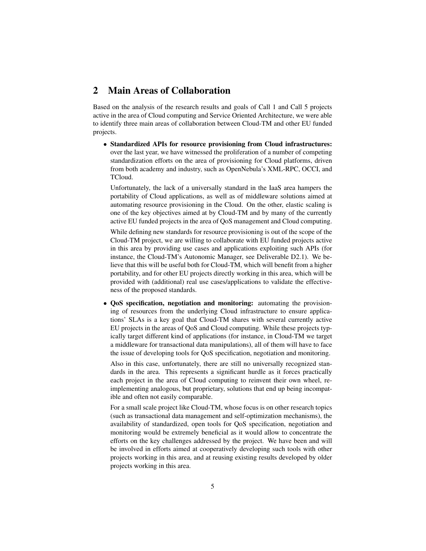### 2 Main Areas of Collaboration

Based on the analysis of the research results and goals of Call 1 and Call 5 projects active in the area of Cloud computing and Service Oriented Architecture, we were able to identify three main areas of collaboration between Cloud-TM and other EU funded projects.

• Standardized APIs for resource provisioning from Cloud infrastructures: over the last year, we have witnessed the proliferation of a number of competing standardization efforts on the area of provisioning for Cloud platforms, driven from both academy and industry, such as OpenNebula's XML-RPC, OCCI, and TCloud.

Unfortunately, the lack of a universally standard in the IaaS area hampers the portability of Cloud applications, as well as of middleware solutions aimed at automating resource provisioning in the Cloud. On the other, elastic scaling is one of the key objectives aimed at by Cloud-TM and by many of the currently active EU funded projects in the area of QoS management and Cloud computing.

While defining new standards for resource provisioning is out of the scope of the Cloud-TM project, we are willing to collaborate with EU funded projects active in this area by providing use cases and applications exploiting such APIs (for instance, the Cloud-TM's Autonomic Manager, see Deliverable D2.1). We believe that this will be useful both for Cloud-TM, which will benefit from a higher portability, and for other EU projects directly working in this area, which will be provided with (additional) real use cases/applications to validate the effectiveness of the proposed standards.

• QoS specification, negotiation and monitoring: automating the provisioning of resources from the underlying Cloud infrastructure to ensure applications' SLAs is a key goal that Cloud-TM shares with several currently active EU projects in the areas of QoS and Cloud computing. While these projects typically target different kind of applications (for instance, in Cloud-TM we target a middleware for transactional data manipulations), all of them will have to face the issue of developing tools for QoS specification, negotiation and monitoring.

Also in this case, unfortunately, there are still no universally recognized standards in the area. This represents a significant hurdle as it forces practically each project in the area of Cloud computing to reinvent their own wheel, reimplementing analogous, but proprietary, solutions that end up being incompatible and often not easily comparable.

For a small scale project like Cloud-TM, whose focus is on other research topics (such as transactional data management and self-optimization mechanisms), the availability of standardized, open tools for QoS specification, negotiation and monitoring would be extremely beneficial as it would allow to concentrate the efforts on the key challenges addressed by the project. We have been and will be involved in efforts aimed at cooperatively developing such tools with other projects working in this area, and at reusing existing results developed by older projects working in this area.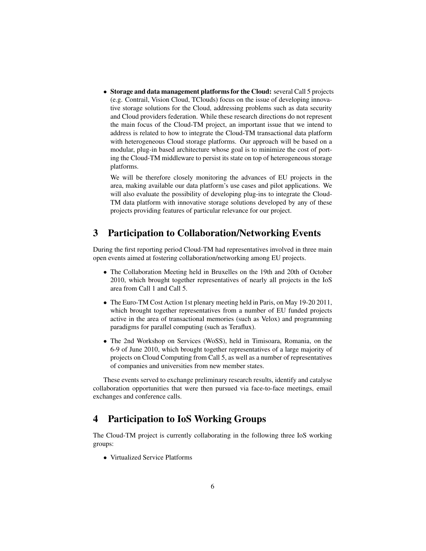• Storage and data management platforms for the Cloud: several Call 5 projects (e.g. Contrail, Vision Cloud, TClouds) focus on the issue of developing innovative storage solutions for the Cloud, addressing problems such as data security and Cloud providers federation. While these research directions do not represent the main focus of the Cloud-TM project, an important issue that we intend to address is related to how to integrate the Cloud-TM transactional data platform with heterogeneous Cloud storage platforms. Our approach will be based on a modular, plug-in based architecture whose goal is to minimize the cost of porting the Cloud-TM middleware to persist its state on top of heterogeneous storage platforms.

We will be therefore closely monitoring the advances of EU projects in the area, making available our data platform's use cases and pilot applications. We will also evaluate the possibility of developing plug-ins to integrate the Cloud-TM data platform with innovative storage solutions developed by any of these projects providing features of particular relevance for our project.

### 3 Participation to Collaboration/Networking Events

During the first reporting period Cloud-TM had representatives involved in three main open events aimed at fostering collaboration/networking among EU projects.

- The Collaboration Meeting held in Bruxelles on the 19th and 20th of October 2010, which brought together representatives of nearly all projects in the IoS area from Call 1 and Call 5.
- The Euro-TM Cost Action 1st plenary meeting held in Paris, on May 19-20 2011, which brought together representatives from a number of EU funded projects active in the area of transactional memories (such as Velox) and programming paradigms for parallel computing (such as Teraflux).
- The 2nd Workshop on Services (WoSS), held in Timisoara, Romania, on the 6-9 of June 2010, which brought together representatives of a large majority of projects on Cloud Computing from Call 5, as well as a number of representatives of companies and universities from new member states.

These events served to exchange preliminary research results, identify and catalyse collaboration opportunities that were then pursued via face-to-face meetings, email exchanges and conference calls.

## 4 Participation to IoS Working Groups

The Cloud-TM project is currently collaborating in the following three IoS working groups:

• Virtualized Service Platforms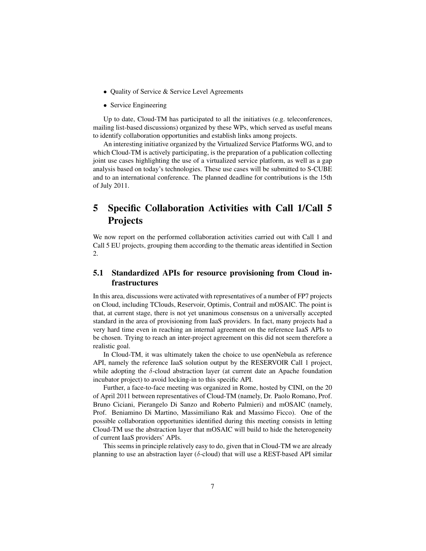- Quality of Service & Service Level Agreements
- Service Engineering

Up to date, Cloud-TM has participated to all the initiatives (e.g. teleconferences, mailing list-based discussions) organized by these WPs, which served as useful means to identify collaboration opportunities and establish links among projects.

An interesting initiative organized by the Virtualized Service Platforms WG, and to which Cloud-TM is actively participating, is the preparation of a publication collecting joint use cases highlighting the use of a virtualized service platform, as well as a gap analysis based on today's technologies. These use cases will be submitted to S-CUBE and to an international conference. The planned deadline for contributions is the 15th of July 2011.

## 5 Specific Collaboration Activities with Call 1/Call 5 **Projects**

We now report on the performed collaboration activities carried out with Call 1 and Call 5 EU projects, grouping them according to the thematic areas identified in Section 2.

#### 5.1 Standardized APIs for resource provisioning from Cloud infrastructures

In this area, discussions were activated with representatives of a number of FP7 projects on Cloud, including TClouds, Reservoir, Optimis, Contrail and mOSAIC. The point is that, at current stage, there is not yet unanimous consensus on a universally accepted standard in the area of provisioning from IaaS providers. In fact, many projects had a very hard time even in reaching an internal agreement on the reference IaaS APIs to be chosen. Trying to reach an inter-project agreement on this did not seem therefore a realistic goal.

In Cloud-TM, it was ultimately taken the choice to use openNebula as reference API, namely the reference IaaS solution output by the RESERVOIR Call 1 project, while adopting the  $\delta$ -cloud abstraction layer (at current date an Apache foundation incubator project) to avoid locking-in to this specific API.

Further, a face-to-face meeting was organized in Rome, hosted by CINI, on the 20 of April 2011 between representatives of Cloud-TM (namely, Dr. Paolo Romano, Prof. Bruno Ciciani, Pierangelo Di Sanzo and Roberto Palmieri) and mOSAIC (namely, Prof. Beniamino Di Martino, Massimiliano Rak and Massimo Ficco). One of the possible collaboration opportunities identified during this meeting consists in letting Cloud-TM use the abstraction layer that mOSAIC will build to hide the heterogeneity of current IaaS providers' APIs.

This seems in principle relatively easy to do, given that in Cloud-TM we are already planning to use an abstraction layer ( $\delta$ -cloud) that will use a REST-based API similar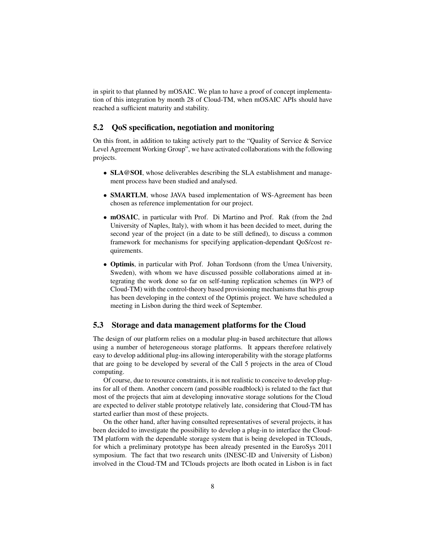in spirit to that planned by mOSAIC. We plan to have a proof of concept implementation of this integration by month 28 of Cloud-TM, when mOSAIC APIs should have reached a sufficient maturity and stability.

#### 5.2 QoS specification, negotiation and monitoring

On this front, in addition to taking actively part to the "Quality of Service & Service Level Agreement Working Group", we have activated collaborations with the following projects.

- SLA@SOI, whose deliverables describing the SLA establishment and management process have been studied and analysed.
- SMARTLM, whose JAVA based implementation of WS-Agreement has been chosen as reference implementation for our project.
- mOSAIC, in particular with Prof. Di Martino and Prof. Rak (from the 2nd University of Naples, Italy), with whom it has been decided to meet, during the second year of the project (in a date to be still defined), to discuss a common framework for mechanisms for specifying application-dependant QoS/cost requirements.
- Optimis, in particular with Prof. Johan Tordsonn (from the Umea University, Sweden), with whom we have discussed possible collaborations aimed at integrating the work done so far on self-tuning replication schemes (in WP3 of Cloud-TM) with the control-theory based provisioning mechanisms that his group has been developing in the context of the Optimis project. We have scheduled a meeting in Lisbon during the third week of September.

#### 5.3 Storage and data management platforms for the Cloud

The design of our platform relies on a modular plug-in based architecture that allows using a number of heterogeneous storage platforms. It appears therefore relatively easy to develop additional plug-ins allowing interoperability with the storage platforms that are going to be developed by several of the Call 5 projects in the area of Cloud computing.

Of course, due to resource constraints, it is not realistic to conceive to develop plugins for all of them. Another concern (and possible roadblock) is related to the fact that most of the projects that aim at developing innovative storage solutions for the Cloud are expected to deliver stable prototype relatively late, considering that Cloud-TM has started earlier than most of these projects.

On the other hand, after having consulted representatives of several projects, it has been decided to investigate the possibility to develop a plug-in to interface the Cloud-TM platform with the dependable storage system that is being developed in TClouds, for which a preliminary prototype has been already presented in the EuroSys 2011 symposium. The fact that two research units (INESC-ID and University of Lisbon) involved in the Cloud-TM and TClouds projects are lboth ocated in Lisbon is in fact